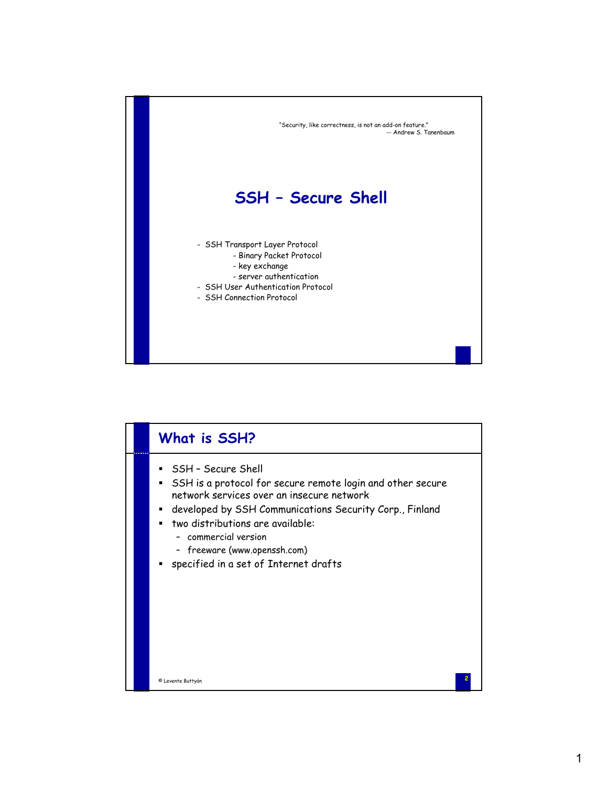

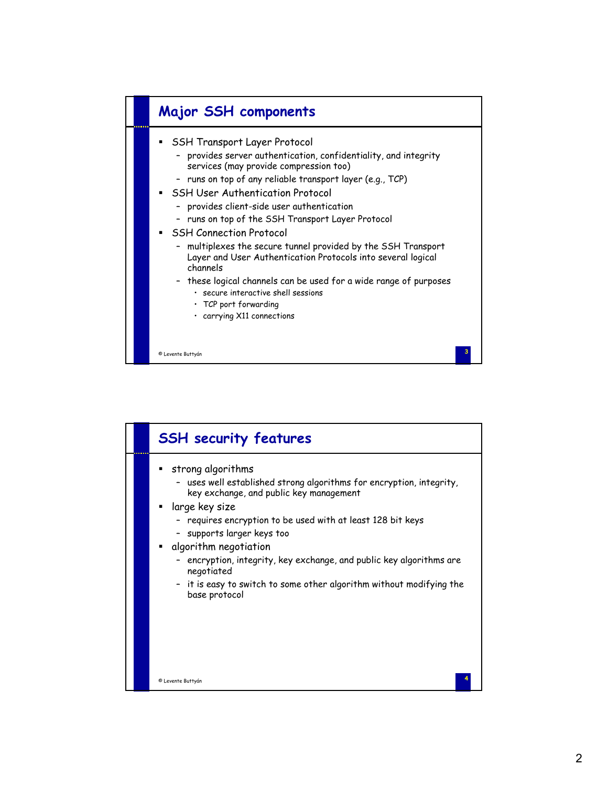

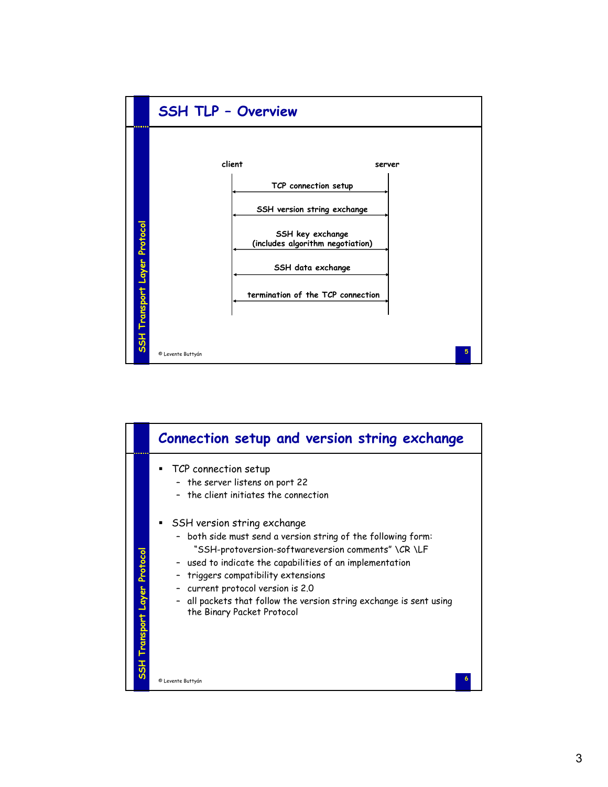

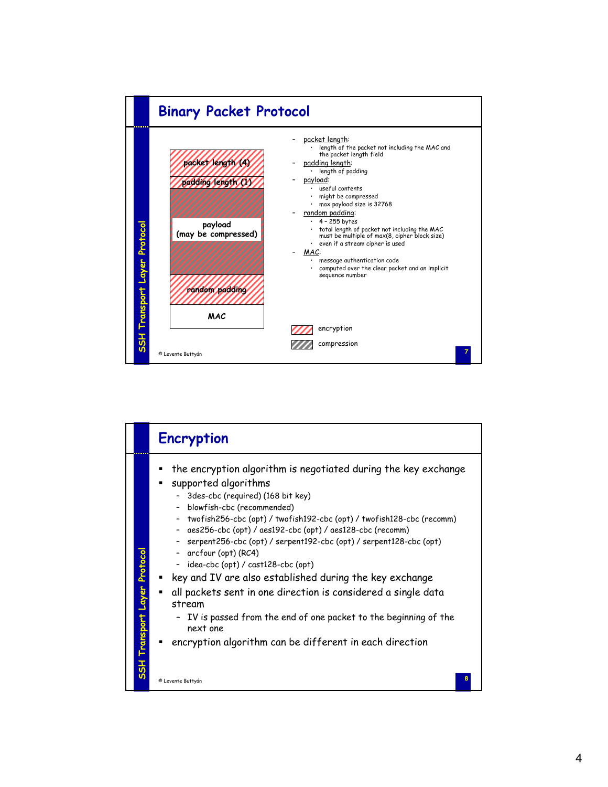

|                                     | <b>Encryption</b>                                                                                                                                                                                                                                                                                                                                                                                                                                                                                                                                                                                                                                                                                                                     |
|-------------------------------------|---------------------------------------------------------------------------------------------------------------------------------------------------------------------------------------------------------------------------------------------------------------------------------------------------------------------------------------------------------------------------------------------------------------------------------------------------------------------------------------------------------------------------------------------------------------------------------------------------------------------------------------------------------------------------------------------------------------------------------------|
| <b>SSH Transport Layer Protocol</b> | the encryption algorithm is negotiated during the key exchange<br>supported algorithms<br>3des-cbc (required) (168 bit key)<br>blowfish-cbc (recommended)<br>twofish256-cbc (opt) / twofish192-cbc (opt) / twofish128-cbc (recomm)<br>aes256-cbc (opt) / aes192-cbc (opt) / aes128-cbc (recomm)<br>$\sim$<br>serpent256-cbc (opt) / serpent192-cbc (opt) / serpent128-cbc (opt)<br>- arcfour (opt) (RC4)<br>- idea-cbc (opt) / cast128-cbc (opt)<br>key and IV are also established during the key exchange<br>all packets sent in one direction is considered a single data<br>٠<br>stream<br>IV is passed from the end of one packet to the beginning of the<br>next one<br>encryption algorithm can be different in each direction |
|                                     | © Levente Buttyán                                                                                                                                                                                                                                                                                                                                                                                                                                                                                                                                                                                                                                                                                                                     |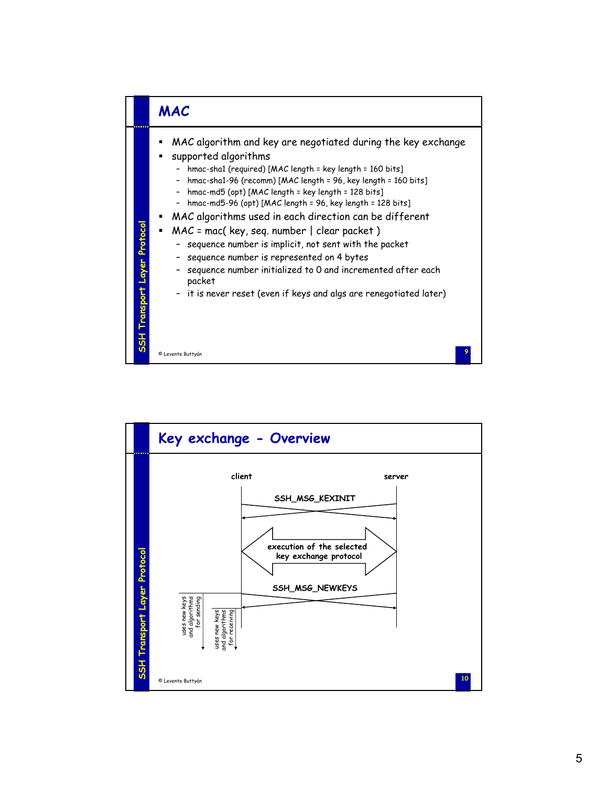

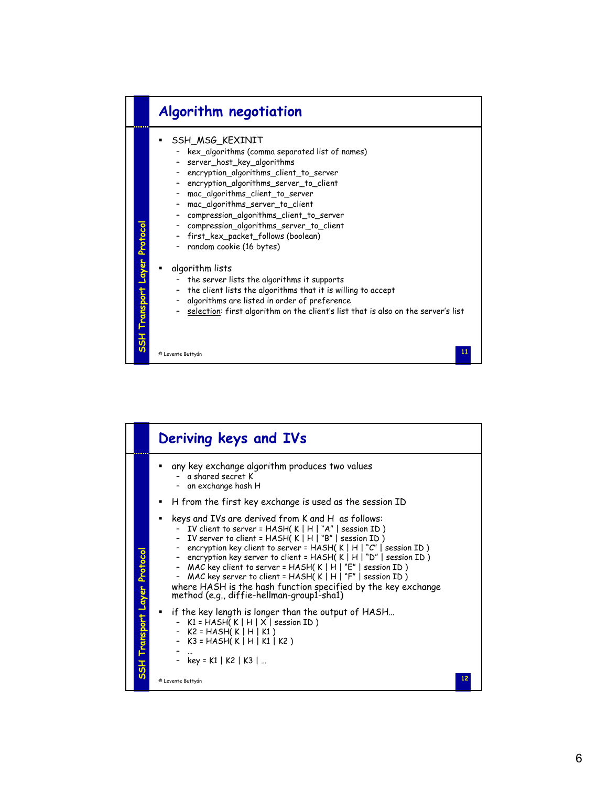## **Algorithm negotiation**

- SSH\_MSG\_KEXINIT
	- kex\_algorithms (comma separated list of names)
	- server\_host\_key\_algorithms
	- encryption\_algorithms\_client\_to\_server
	- encryption\_algorithms\_server\_to\_client
	- mac\_algorithms\_client\_to\_server
	- mac\_algorithms\_server\_to\_client
	- compression\_algorithms\_client\_to\_server
	- compression\_algorithms\_server\_to\_client
	- first\_kex\_packet\_follows (boolean)
	- random cookie (16 bytes)
- algorithm lists

**SSH Transport Layer Protocol**

SSH Transport Layer Protocol

- the server lists the algorithms it supports
- the client lists the algorithms that it is willing to accept
- algorithms are listed in order of preference
- selection: first algorithm on the client's list that is also on the server's list

**11** © Levente Buttyán

|  |                              | Deriving keys and IVs                                                                                                                                                                                                                                                                                                                                                                                                                                                                                                                                                                     |
|--|------------------------------|-------------------------------------------------------------------------------------------------------------------------------------------------------------------------------------------------------------------------------------------------------------------------------------------------------------------------------------------------------------------------------------------------------------------------------------------------------------------------------------------------------------------------------------------------------------------------------------------|
|  |                              | any key exchange algorithm produces two values<br>a shared secret K<br>an exchange hash H                                                                                                                                                                                                                                                                                                                                                                                                                                                                                                 |
|  |                              | H from the first key exchange is used as the session ID                                                                                                                                                                                                                                                                                                                                                                                                                                                                                                                                   |
|  |                              | keys and IVs are derived from K and H as follows:<br>- IV client to server = HASH(K   H   "A"   session ID)<br>- IV server to client = $HASH(K H ^n)$ "B"   session ID)<br>- encryption key client to server = HASH( $K \mid H \mid "C"$   session ID)<br>- encryption key server to client = HASH(K   H   "D"   session ID)<br>- MAC key client to server = HASH( $K$   H   "E"   session ID)<br>- MAC key server to client = HASH( $K \mid H \mid ``F'' \mid$ session ID)<br>where HASH is the hash function specified by the key exchange<br>method (e.g., diffie-hellman-group1-sha1) |
|  | SSH Transport Layer Protocol | " if the key length is longer than the output of HASH<br>K1 = HASH( K   H   X   session ID )<br>- $K2 = HASH(K   H   K1)$<br>- $K3 = HASH(K   H   K1   K2)$<br>- key = K1   K2   K3                                                                                                                                                                                                                                                                                                                                                                                                       |
|  |                              | 12<br>© Levente Buttyán                                                                                                                                                                                                                                                                                                                                                                                                                                                                                                                                                                   |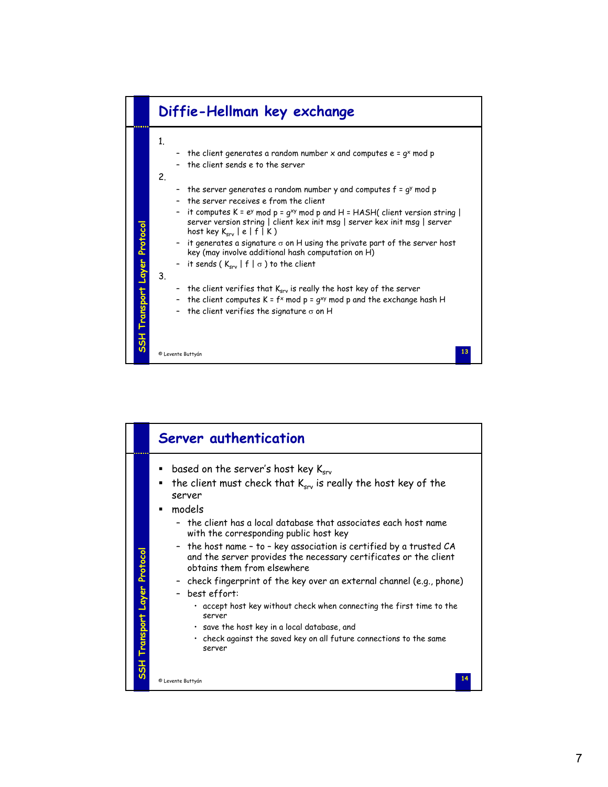

|                              | Server authentication                                                                                                                                                                                                                                                                                                                                                                                                                                                                                                                                                                                                                                                                                                                                             |
|------------------------------|-------------------------------------------------------------------------------------------------------------------------------------------------------------------------------------------------------------------------------------------------------------------------------------------------------------------------------------------------------------------------------------------------------------------------------------------------------------------------------------------------------------------------------------------------------------------------------------------------------------------------------------------------------------------------------------------------------------------------------------------------------------------|
| SSH Transport Layer Protocol | based on the server's host key $K_{\rm{crv}}$<br>the client must check that K <sub>srv</sub> is really the host key of the<br>٠<br>server<br>models<br>- the client has a local database that associates each host name.<br>with the corresponding public host key<br>- the host name - to - key association is certified by a trusted CA<br>and the server provides the necessary certificates or the client<br>obtains them from elsewhere<br>- check fingerprint of the key over an external channel (e.g., phone)<br>- best effort:<br>. accept host key without check when connecting the first time to the<br>server<br>$\cdot$ save the host key in a local database, and<br>· check against the saved key on all future connections to the same<br>server |
|                              | © Levente Buttyán                                                                                                                                                                                                                                                                                                                                                                                                                                                                                                                                                                                                                                                                                                                                                 |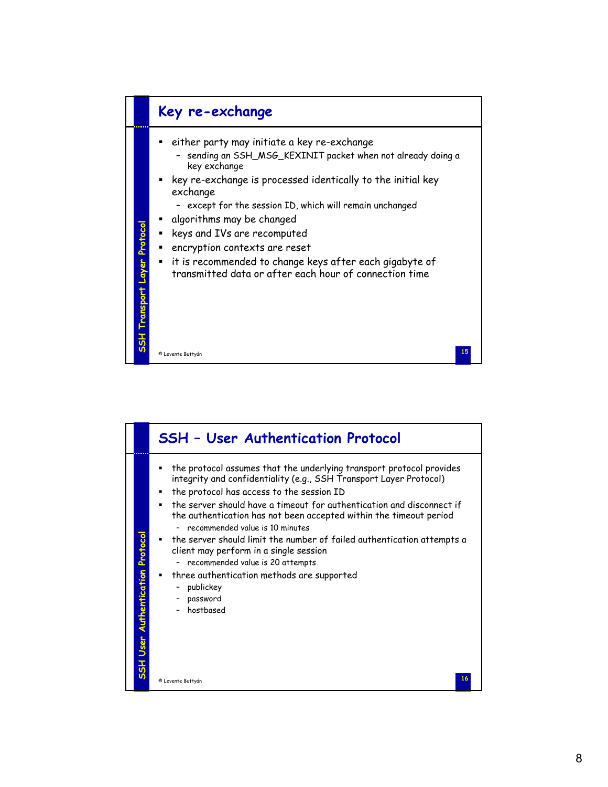

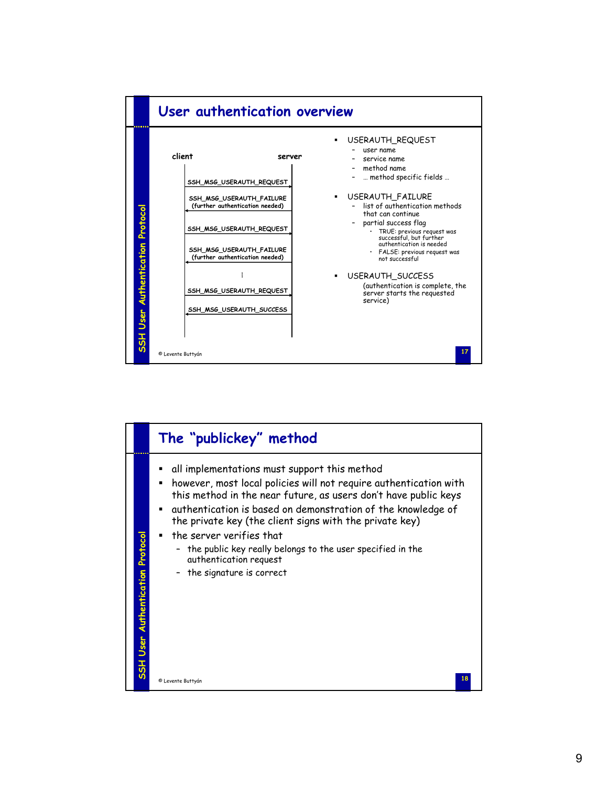

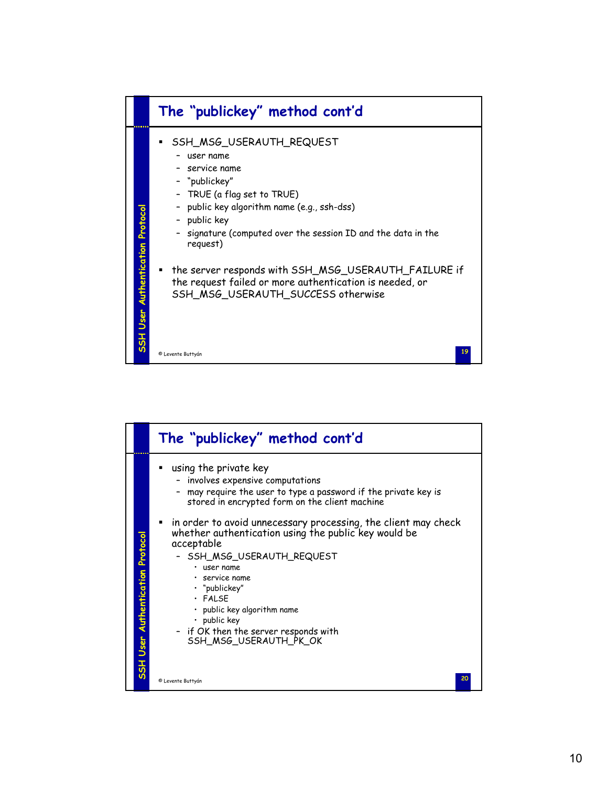

|                                         | The "publickey" method cont'd                                                                                                                                                                                                                                                                                                                                                                                                                                                                                                                                        |
|-----------------------------------------|----------------------------------------------------------------------------------------------------------------------------------------------------------------------------------------------------------------------------------------------------------------------------------------------------------------------------------------------------------------------------------------------------------------------------------------------------------------------------------------------------------------------------------------------------------------------|
| <b>SSH User Authentication Protocol</b> | using the private key<br>٠<br>- involves expensive computations<br>- may require the user to type a password if the private key is<br>stored in encrypted form on the client machine<br>$\blacksquare$ in order to avoid unnecessary processing, the client may check<br>whether authentication using the public key would be<br>acceptable<br>- SSH_MSG_USERAUTH_REQUEST<br>$\cdot$ user name<br>service name<br>• "publickey"<br>$·$ FALSE<br>• public key algorithm name<br>$\cdot$ public key<br>- if OK then the server responds with<br>SSH_MSG_USERAUTH_PK_OK |
|                                         | 20<br>© Levente Buttyán                                                                                                                                                                                                                                                                                                                                                                                                                                                                                                                                              |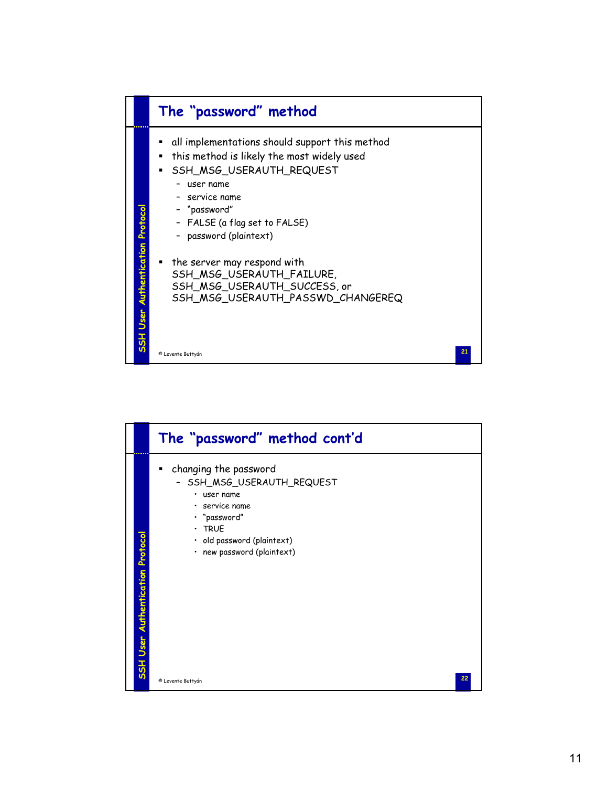

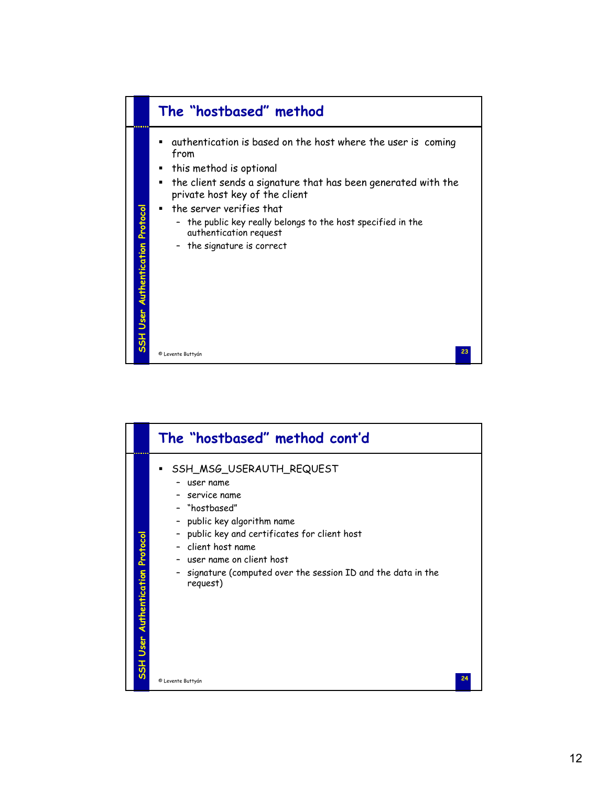

|                                         | The "hostbased" method cont'd                                                                                                                                                                                                                                                                                           |
|-----------------------------------------|-------------------------------------------------------------------------------------------------------------------------------------------------------------------------------------------------------------------------------------------------------------------------------------------------------------------------|
| <b>SSH User Authentication Protocol</b> | SSH_MSG_USERAUTH_REQUEST<br>٠<br>user name<br>service name<br>- "hostbased"<br>public key algorithm name<br>$\overline{\phantom{a}}$<br>public key and certificates for client host<br>- client host name<br>- user name on client host<br>signature (computed over the session ID and the data in the<br>-<br>request) |
|                                         | 24<br>© Levente Buttyán                                                                                                                                                                                                                                                                                                 |